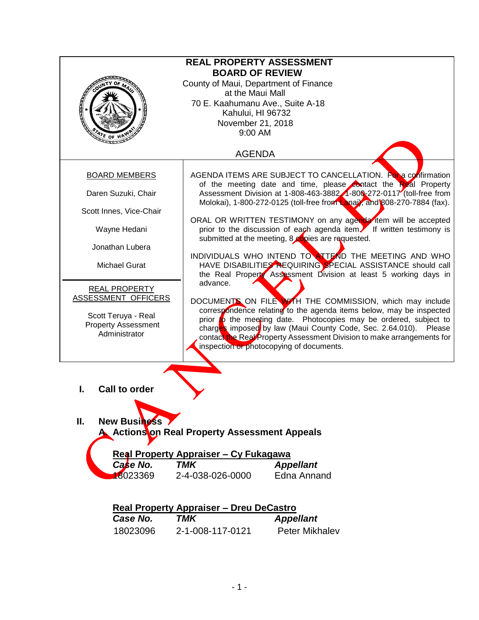| <b>REAL PROPERTY ASSESSMENT</b><br><b>BOARD OF REVIEW</b><br>County of Maui, Department of Finance<br>at the Maui Mall<br>70 E. Kaahumanu Ave., Suite A-18<br>Kahului, HI 96732<br>November 21, 2018 |                                                                                                                                                                                                                                                                                                                                                                                                                                                                                                                                              |  |  |  |  |
|------------------------------------------------------------------------------------------------------------------------------------------------------------------------------------------------------|----------------------------------------------------------------------------------------------------------------------------------------------------------------------------------------------------------------------------------------------------------------------------------------------------------------------------------------------------------------------------------------------------------------------------------------------------------------------------------------------------------------------------------------------|--|--|--|--|
| 9:00 AM<br>$\frac{1}{2}$ or<br><b>AGENDA</b>                                                                                                                                                         |                                                                                                                                                                                                                                                                                                                                                                                                                                                                                                                                              |  |  |  |  |
| <b>BOARD MEMBERS</b>                                                                                                                                                                                 | AGENDA ITEMS ARE SUBJECT TO CANCELLATION. For a confirmation<br>of the meeting date and time, please contact the Real Property                                                                                                                                                                                                                                                                                                                                                                                                               |  |  |  |  |
| Daren Suzuki, Chair                                                                                                                                                                                  | Assessment Division at 1-808-463-3882 4-800-272-0117 (toll-free from<br>Molokai), 1-800-272-0125 (toll-free from Lanai), and 808-270-7884 (fax).                                                                                                                                                                                                                                                                                                                                                                                             |  |  |  |  |
| Scott Innes, Vice-Chair<br>Wayne Hedani                                                                                                                                                              | ORAL OR WRITTEN TESTIMONY on any agenda tem will be accepted<br>prior to the discussion of each agenda item. If written testimony is                                                                                                                                                                                                                                                                                                                                                                                                         |  |  |  |  |
| Jonathan Lubera                                                                                                                                                                                      | submitted at the meeting, 8 copies are requested.<br>INDIVIDUALS WHO INTEND TO ATTEND THE MEETING AND WHO                                                                                                                                                                                                                                                                                                                                                                                                                                    |  |  |  |  |
| <b>Michael Gurat</b>                                                                                                                                                                                 | HAVE DISABILITIES REQUIRING SPECIAL ASSISTANCE should call<br>the Real Property Assessment Division at least 5 working days in<br>advance.<br>DOCUMENTS ON FILE WITH THE COMMISSION, which may include<br>correspondence relating to the agenda items below, may be inspected<br>prior to the meeting date. Photocopies may be ordered, subject to<br>charges imposed by law (Maui County Code, Sec. 2.64.010). Please<br>contact the Real Property Assessment Division to make arrangements for<br>inspection or photocopying of documents. |  |  |  |  |
| <b>REAL PROPERTY</b>                                                                                                                                                                                 |                                                                                                                                                                                                                                                                                                                                                                                                                                                                                                                                              |  |  |  |  |
| ASSESSMENT OFFICERS<br>Scott Teruya - Real<br><b>Property Assessment</b><br>Administrator                                                                                                            |                                                                                                                                                                                                                                                                                                                                                                                                                                                                                                                                              |  |  |  |  |
| <b>Call to order</b><br>L<br>Ш.<br><b>New Business</b><br>A Actionston Real Property Assessment Appeals<br>Real Property Appraiser - Cy Fukagawa<br><b>TMK</b><br>Case No.<br><b>Appellant</b>       |                                                                                                                                                                                                                                                                                                                                                                                                                                                                                                                                              |  |  |  |  |
| 8023369                                                                                                                                                                                              | <b>Edna Annand</b><br>2-4-038-026-0000                                                                                                                                                                                                                                                                                                                                                                                                                                                                                                       |  |  |  |  |
| <b>Real Property Appraiser - Dreu DeCastro</b>                                                                                                                                                       |                                                                                                                                                                                                                                                                                                                                                                                                                                                                                                                                              |  |  |  |  |
| Case No.                                                                                                                                                                                             | <b>TMK</b><br><b>Appellant</b>                                                                                                                                                                                                                                                                                                                                                                                                                                                                                                               |  |  |  |  |
| 18023096                                                                                                                                                                                             | Peter Mikhalev<br>2-1-008-117-0121                                                                                                                                                                                                                                                                                                                                                                                                                                                                                                           |  |  |  |  |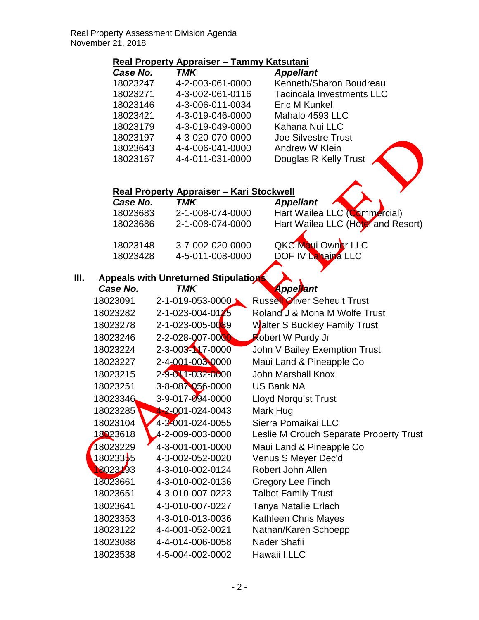## **Real Property Appraiser – Tammy Katsutani**

| Case No. | <b>TMK</b>       | <b>Appellant</b>                 |
|----------|------------------|----------------------------------|
| 18023247 | 4-2-003-061-0000 | Kenneth/Sharon Boudreau          |
| 18023271 | 4-3-002-061-0116 | <b>Tacincala Investments LLC</b> |
| 18023146 | 4-3-006-011-0034 | Eric M Kunkel                    |
| 18023421 | 4-3-019-046-0000 | Mahalo 4593 LLC                  |
| 18023179 | 4-3-019-049-0000 | Kahana Nui LLC                   |
| 18023197 | 4-3-020-070-0000 | <b>Joe Silvestre Trust</b>       |
| 18023643 | 4-4-006-041-0000 | Andrew W Klein                   |
| 18023167 | 4-4-011-031-0000 | Douglas R Kelly Trust            |

## **Real Property Appraiser – Kari Stockwell**

| Case No. | TMK              | <b>Appellant</b>                   |
|----------|------------------|------------------------------------|
| 18023683 | 2-1-008-074-0000 | Hart Wailea LLC (Commercial)       |
| 18023686 | 2-1-008-074-0000 | Hart Wailea LLC (Hotel and Resort) |
|          |                  |                                    |
| 18023148 | 3-7-002-020-0000 | QKC Maui Owner LLC                 |
| 18023428 | 4-5-011-008-0000 | DOF IV Lahaina LLC                 |
|          |                  |                                    |

## **III. Appeals with Unreturned Stipulations**

| Case No. | TMK                               | <b>Appellant</b>                        |
|----------|-----------------------------------|-----------------------------------------|
| 18023091 | 2-1-019-053-0000                  | <b>Russell Oliver Seheult Trust</b>     |
| 18023282 | $2 - 1 - 023 - 004 - 0125$        | Roland J & Mona M Wolfe Trust           |
| 18023278 | 2-1-023-005-0089                  | Walter S Buckley Family Trust           |
| 18023246 | 2-2-028-007-0000                  | <b>Robert W Purdy Jr</b>                |
| 18023224 | 2-3-003-N7-0000                   | John V Bailey Exemption Trust           |
| 18023227 | 2-4-001-003-0000                  | Maui Land & Pineapple Co                |
| 18023215 | 2-9-011-032-0000                  | John Marshall Knox                      |
| 18023251 | $3 - 8 - 08$ $\sqrt{0.56} - 0000$ | <b>US Bank NA</b>                       |
| 18023346 | 3-9-017-094-0000                  | <b>Lloyd Norquist Trust</b>             |
| 18023285 | $4 - 2 - 001 - 024 - 0043$        | Mark Hug                                |
| 18023104 | 4-2-001-024-0055                  | Sierra Pomaikai LLC                     |
| 18023618 | 4-2-009-003-0000                  | Leslie M Crouch Separate Property Trust |
| 18023229 | 4-3-001-001-0000                  | Maui Land & Pineapple Co                |
| 18023355 | 4-3-002-052-0020                  | Venus S Meyer Dec'd                     |
| 18023193 | 4-3-010-002-0124                  | Robert John Allen                       |
| 18023661 | 4-3-010-002-0136                  | <b>Gregory Lee Finch</b>                |
| 18023651 | 4-3-010-007-0223                  | <b>Talbot Family Trust</b>              |
| 18023641 | 4-3-010-007-0227                  | Tanya Natalie Erlach                    |
| 18023353 | 4-3-010-013-0036                  | <b>Kathleen Chris Mayes</b>             |
| 18023122 | 4-4-001-052-0021                  | Nathan/Karen Schoepp                    |
| 18023088 | 4-4-014-006-0058                  | Nader Shafii                            |
| 18023538 | 4-5-004-002-0002                  | Hawaii I, LLC                           |
|          |                                   |                                         |